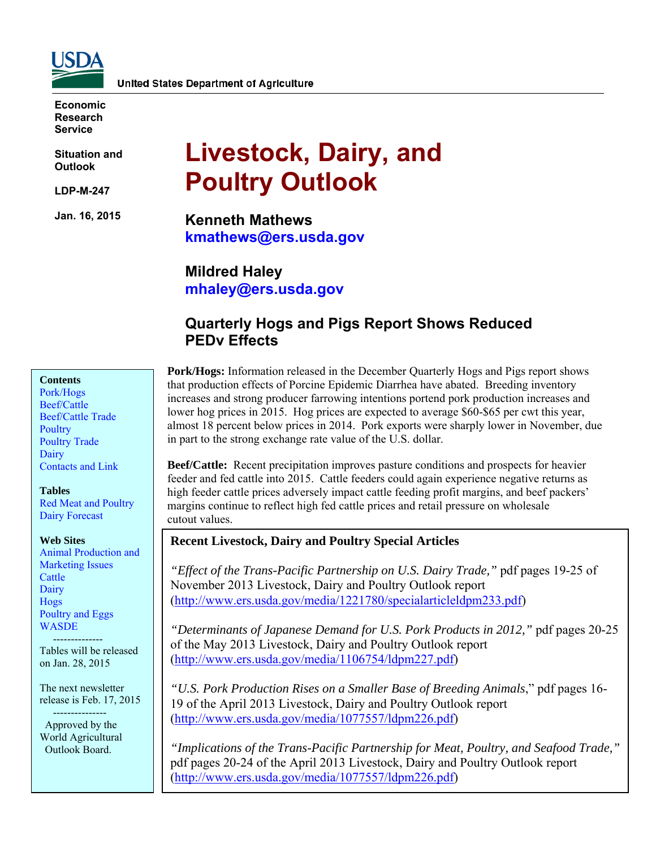

**Economic Research Service** 

**Situation and Outlook** 

**LDP-M-247** 

**Jan. 16, 2015** 

# **Livestock, Dairy, and Poultry Outlook**

**Kenneth Mathews kmathews@ers.usda.gov** 

**Mildred Haley mhaley@ers.usda.gov** 

# **Quarterly Hogs and Pigs Report Shows Reduced PEDv Effects**

### **Contents**

[Pork/Hogs](#page-2-0)  [Beef/Cattle](#page-5-0)  [Beef/Cattle Trade](#page-7-0)  **Poultry** [Poultry Trade](#page-12-0)  [Dairy](#page-15-0)  [Contacts and Link](#page-18-0) 

#### **Tables**

[Red Meat and Poultry](#page-19-0)  [Dairy Forecast](#page-20-0) 

#### **Web Sites**

[Animal Production and](http://www.ers.usda.gov/topics/animal-products/animal-production-marketing-issues.aspx)  Marketing Issues **Cattle Dairy** [Hogs](http://www.ers.usda.gov/topics/animal-products/hogs-pork.aspx)  [Poultry and Eggs](http://www.ers.usda.gov/topics/animal-products/poultry-eggs.aspx)  **WASDE** 

 -------------- Tables will be released on Jan. 28, 2015

The next newsletter release is Feb. 17, 2015

 --------------- Approved by the World Agricultural Outlook Board.

**Pork/Hogs:** Information released in the December Quarterly Hogs and Pigs report shows that production effects of Porcine Epidemic Diarrhea have abated. Breeding inventory increases and strong producer farrowing intentions portend pork production increases and lower hog prices in 2015. Hog prices are expected to average \$60-\$65 per cwt this year, almost 18 percent below prices in 2014. Pork exports were sharply lower in November, due in part to the strong exchange rate value of the U.S. dollar.

**Beef/Cattle:** Recent precipitation improves pasture conditions and prospects for heavier feeder and fed cattle into 2015. Cattle feeders could again experience negative returns as high feeder cattle prices adversely impact cattle feeding profit margins, and beef packers' margins continue to reflect high fed cattle prices and retail pressure on wholesale cutout values.

### **Recent Livestock, Dairy and Poultry Special Articles**

*"Effect of the Trans-Pacific Partnership on U.S. Dairy Trade,"* pdf pages 19-25 of November 2013 Livestock, Dairy and Poultry Outlook report (http://www.ers.usda.gov/media/1221780/specialarticleldpm233.pdf)

*"Determinants of Japanese Demand for U.S. Pork Products in 2012,"* pdf pages 20-25 of the May 2013 Livestock, Dairy and Poultry Outlook report (http://www.ers.usda.gov/media/1106754/ldpm227.pdf)

*"U.S. Pork Production Rises on a Smaller Base of Breeding Animals*," pdf pages 16- 19 of the April 2013 Livestock, Dairy and Poultry Outlook report (http://www.ers.usda.gov/media/1077557/ldpm226.pdf)

*"Implications of the Trans-Pacific Partnership for Meat, Poultry, and Seafood Trade,"* pdf pages 20-24 of the April 2013 Livestock, Dairy and Poultry Outlook report (http://www.ers.usda.gov/media/1077557/ldpm226.pdf)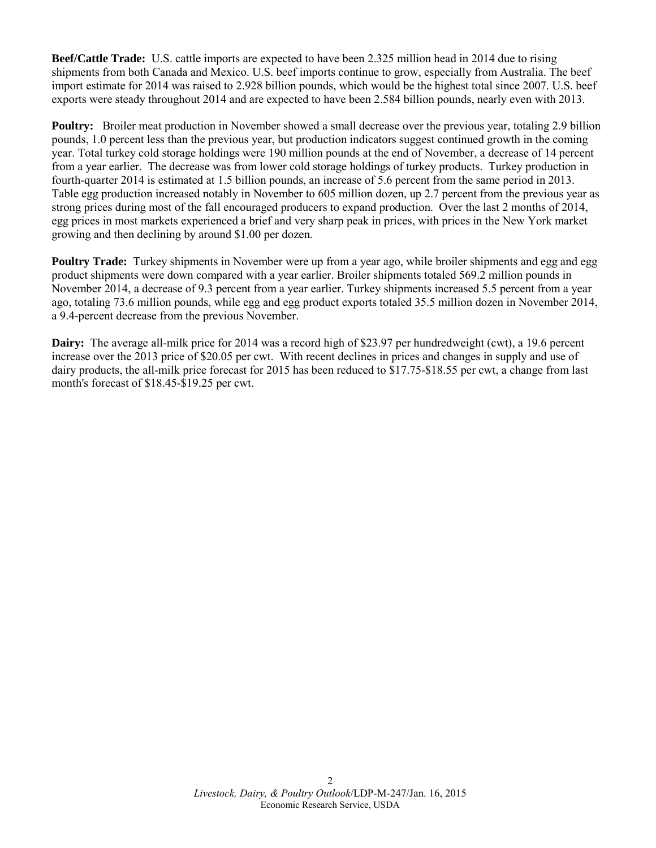**Beef/Cattle Trade:** U.S. cattle imports are expected to have been 2.325 million head in 2014 due to rising shipments from both Canada and Mexico. U.S. beef imports continue to grow, especially from Australia. The beef import estimate for 2014 was raised to 2.928 billion pounds, which would be the highest total since 2007. U.S. beef exports were steady throughout 2014 and are expected to have been 2.584 billion pounds, nearly even with 2013.

**Poultry:** Broiler meat production in November showed a small decrease over the previous year, totaling 2.9 billion pounds, 1.0 percent less than the previous year, but production indicators suggest continued growth in the coming year. Total turkey cold storage holdings were 190 million pounds at the end of November, a decrease of 14 percent from a year earlier. The decrease was from lower cold storage holdings of turkey products. Turkey production in fourth-quarter 2014 is estimated at 1.5 billion pounds, an increase of 5.6 percent from the same period in 2013. Table egg production increased notably in November to 605 million dozen, up 2.7 percent from the previous year as strong prices during most of the fall encouraged producers to expand production. Over the last 2 months of 2014, egg prices in most markets experienced a brief and very sharp peak in prices, with prices in the New York market growing and then declining by around \$1.00 per dozen.

**Poultry Trade:** Turkey shipments in November were up from a year ago, while broiler shipments and egg and egg product shipments were down compared with a year earlier. Broiler shipments totaled 569.2 million pounds in November 2014, a decrease of 9.3 percent from a year earlier. Turkey shipments increased 5.5 percent from a year ago, totaling 73.6 million pounds, while egg and egg product exports totaled 35.5 million dozen in November 2014, a 9.4-percent decrease from the previous November.

**Dairy:** The average all-milk price for 2014 was a record high of \$23.97 per hundredweight (cwt), a 19.6 percent increase over the 2013 price of \$20.05 per cwt. With recent declines in prices and changes in supply and use of dairy products, the all-milk price forecast for 2015 has been reduced to \$17.75-\$18.55 per cwt, a change from last month's forecast of \$18.45-\$19.25 per cwt.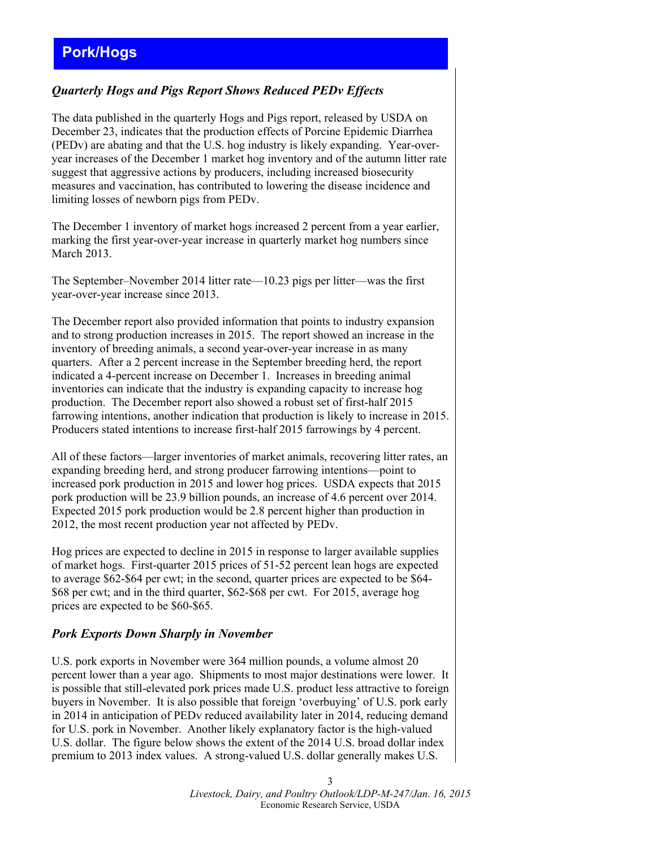# <span id="page-2-0"></span>**Pork/Hogs**

### *Quarterly Hogs and Pigs Report Shows Reduced PEDv Effects*

The data published in the quarterly Hogs and Pigs report, released by USDA on December 23, indicates that the production effects of Porcine Epidemic Diarrhea (PEDv) are abating and that the U.S. hog industry is likely expanding. Year-overyear increases of the December 1 market hog inventory and of the autumn litter rate suggest that aggressive actions by producers, including increased biosecurity measures and vaccination, has contributed to lowering the disease incidence and limiting losses of newborn pigs from PEDv.

The December 1 inventory of market hogs increased 2 percent from a year earlier, marking the first year-over-year increase in quarterly market hog numbers since March 2013.

The September–November 2014 litter rate—10.23 pigs per litter—was the first year-over-year increase since 2013.

The December report also provided information that points to industry expansion and to strong production increases in 2015. The report showed an increase in the inventory of breeding animals, a second year-over-year increase in as many quarters. After a 2 percent increase in the September breeding herd, the report indicated a 4-percent increase on December 1. Increases in breeding animal inventories can indicate that the industry is expanding capacity to increase hog production. The December report also showed a robust set of first-half 2015 farrowing intentions, another indication that production is likely to increase in 2015. Producers stated intentions to increase first-half 2015 farrowings by 4 percent.

All of these factors—larger inventories of market animals, recovering litter rates, an expanding breeding herd, and strong producer farrowing intentions—point to increased pork production in 2015 and lower hog prices. USDA expects that 2015 pork production will be 23.9 billion pounds, an increase of 4.6 percent over 2014. Expected 2015 pork production would be 2.8 percent higher than production in 2012, the most recent production year not affected by PEDv.

Hog prices are expected to decline in 2015 in response to larger available supplies of market hogs. First-quarter 2015 prices of 51-52 percent lean hogs are expected to average \$62-\$64 per cwt; in the second, quarter prices are expected to be \$64- \$68 per cwt; and in the third quarter, \$62-\$68 per cwt. For 2015, average hog prices are expected to be \$60-\$65.

### *Pork Exports Down Sharply in November*

U.S. pork exports in November were 364 million pounds, a volume almost 20 percent lower than a year ago. Shipments to most major destinations were lower. It is possible that still-elevated pork prices made U.S. product less attractive to foreign buyers in November. It is also possible that foreign 'overbuying' of U.S. pork early in 2014 in anticipation of PEDv reduced availability later in 2014, reducing demand for U.S. pork in November. Another likely explanatory factor is the high-valued U.S. dollar. The figure below shows the extent of the 2014 U.S. broad dollar index premium to 2013 index values. A strong-valued U.S. dollar generally makes U.S.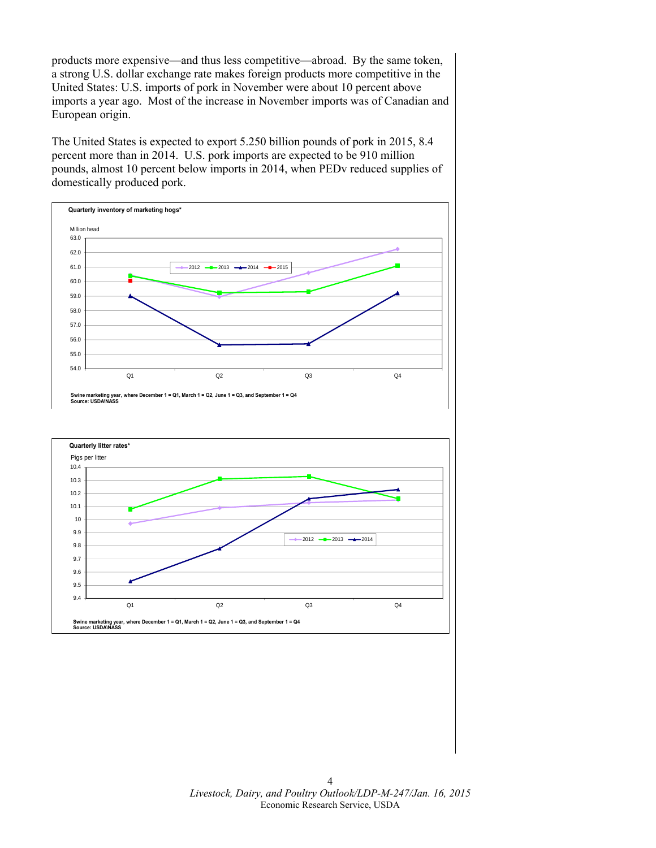products more expensive—and thus less competitive—abroad. By the same token, a strong U.S. dollar exchange rate makes foreign products more competitive in the United States: U.S. imports of pork in November were about 10 percent above imports a year ago. Most of the increase in November imports was of Canadian and European origin.

The United States is expected to export 5.250 billion pounds of pork in 2015, 8.4 percent more than in 2014. U.S. pork imports are expected to be 910 million pounds, almost 10 percent below imports in 2014, when PEDv reduced supplies of domestically produced pork.



Q1 Q2 Q3 Q4

**Swine marketing year, where December 1 = Q1, March 1 = Q2, June 1 = Q3, and September 1 = Q4**

9.4

**Source: USDA\NASS**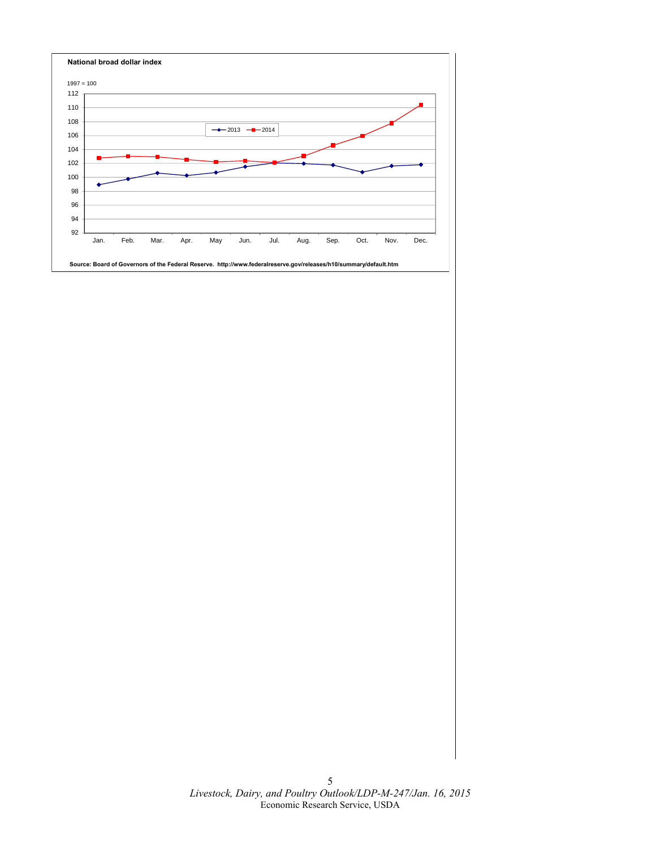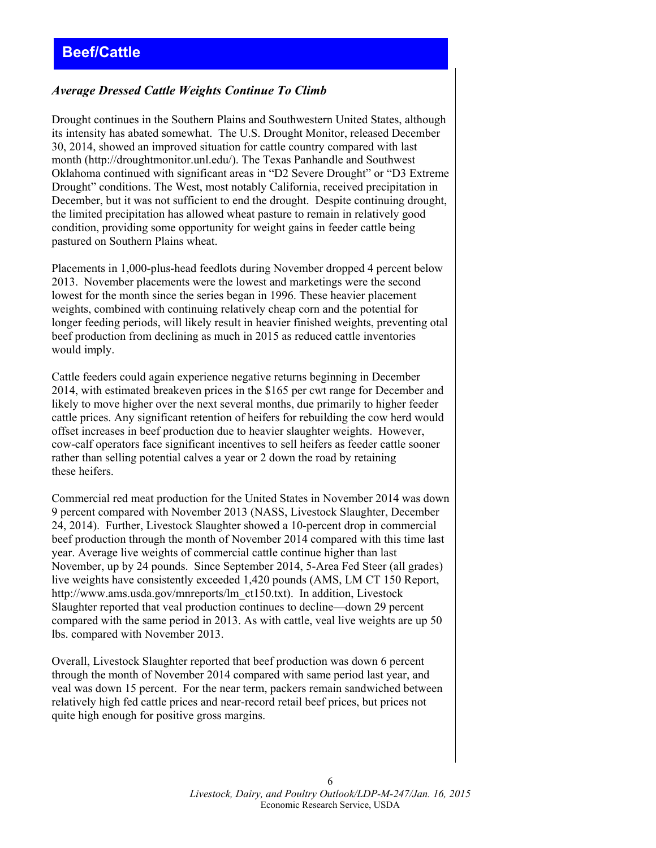### <span id="page-5-0"></span>*Average Dressed Cattle Weights Continue To Climb*

Drought continues in the Southern Plains and Southwestern United States, although its intensity has abated somewhat. The U.S. Drought Monitor, released December 30, 2014, showed an improved situation for cattle country compared with last month (http://droughtmonitor.unl.edu/). The Texas Panhandle and Southwest Oklahoma continued with significant areas in "D2 Severe Drought" or "D3 Extreme Drought" conditions. The West, most notably California, received precipitation in December, but it was not sufficient to end the drought. Despite continuing drought, the limited precipitation has allowed wheat pasture to remain in relatively good condition, providing some opportunity for weight gains in feeder cattle being pastured on Southern Plains wheat.

Placements in 1,000-plus-head feedlots during November dropped 4 percent below 2013. November placements were the lowest and marketings were the second lowest for the month since the series began in 1996. These heavier placement weights, combined with continuing relatively cheap corn and the potential for longer feeding periods, will likely result in heavier finished weights, preventing otal beef production from declining as much in 2015 as reduced cattle inventories would imply.

Cattle feeders could again experience negative returns beginning in December 2014, with estimated breakeven prices in the \$165 per cwt range for December and likely to move higher over the next several months, due primarily to higher feeder cattle prices. Any significant retention of heifers for rebuilding the cow herd would offset increases in beef production due to heavier slaughter weights. However, cow-calf operators face significant incentives to sell heifers as feeder cattle sooner rather than selling potential calves a year or 2 down the road by retaining these heifers.

Commercial red meat production for the United States in November 2014 was down 9 percent compared with November 2013 (NASS, Livestock Slaughter, December 24, 2014). Further, Livestock Slaughter showed a 10-percent drop in commercial beef production through the month of November 2014 compared with this time last year. Average live weights of commercial cattle continue higher than last November, up by 24 pounds. Since September 2014, 5-Area Fed Steer (all grades) live weights have consistently exceeded 1,420 pounds (AMS, LM CT 150 Report, http://www.ams.usda.gov/mnreports/lm\_ct150.txt). In addition, Livestock Slaughter reported that veal production continues to decline—down 29 percent compared with the same period in 2013. As with cattle, veal live weights are up 50 lbs. compared with November 2013.

Overall, Livestock Slaughter reported that beef production was down 6 percent through the month of November 2014 compared with same period last year, and veal was down 15 percent. For the near term, packers remain sandwiched between relatively high fed cattle prices and near-record retail beef prices, but prices not quite high enough for positive gross margins.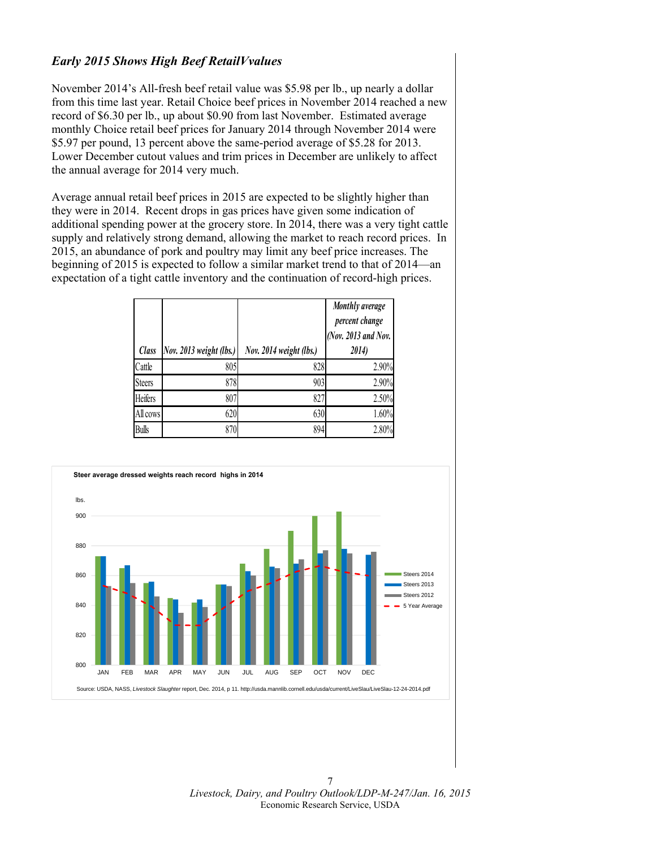### *Early 2015 Shows High Beef RetailVvalues*

November 2014's All-fresh beef retail value was \$5.98 per lb., up nearly a dollar from this time last year. Retail Choice beef prices in November 2014 reached a new record of \$6.30 per lb., up about \$0.90 from last November. Estimated average monthly Choice retail beef prices for January 2014 through November 2014 were \$5.97 per pound, 13 percent above the same-period average of \$5.28 for 2013. Lower December cutout values and trim prices in December are unlikely to affect the annual average for 2014 very much.

Average annual retail beef prices in 2015 are expected to be slightly higher than they were in 2014. Recent drops in gas prices have given some indication of additional spending power at the grocery store. In 2014, there was a very tight cattle supply and relatively strong demand, allowing the market to reach record prices. In 2015, an abundance of pork and poultry may limit any beef price increases. The beginning of 2015 is expected to follow a similar market trend to that of 2014—an expectation of a tight cattle inventory and the continuation of record-high prices.

| <b>Class</b>  | Nov. 2013 weight (lbs.) | Nov. 2014 weight (lbs.) | Monthly average<br>percent change<br>(Nov. 2013 and Nov.<br>2014) |
|---------------|-------------------------|-------------------------|-------------------------------------------------------------------|
| Cattle        | 805                     | 828                     | 2.90%                                                             |
| <b>Steers</b> | 878                     | 903                     | 2.90%                                                             |
| Heifers       | 807                     | 827                     | 2.50%                                                             |
| All cows      | 620                     | 630                     | 1.60%                                                             |
| <b>Bulls</b>  | 870                     | 894                     | 2.80%                                                             |

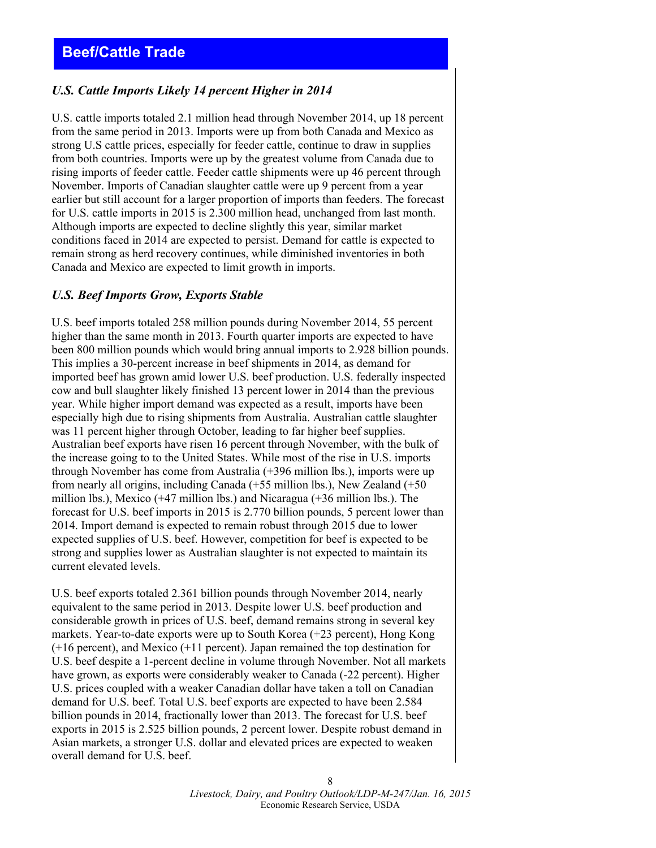### <span id="page-7-0"></span>*U.S. Cattle Imports Likely 14 percent Higher in 2014*

U.S. cattle imports totaled 2.1 million head through November 2014, up 18 percent from the same period in 2013. Imports were up from both Canada and Mexico as strong U.S cattle prices, especially for feeder cattle, continue to draw in supplies from both countries. Imports were up by the greatest volume from Canada due to rising imports of feeder cattle. Feeder cattle shipments were up 46 percent through November. Imports of Canadian slaughter cattle were up 9 percent from a year earlier but still account for a larger proportion of imports than feeders. The forecast for U.S. cattle imports in 2015 is 2.300 million head, unchanged from last month. Although imports are expected to decline slightly this year, similar market conditions faced in 2014 are expected to persist. Demand for cattle is expected to remain strong as herd recovery continues, while diminished inventories in both Canada and Mexico are expected to limit growth in imports.

### *U.S. Beef Imports Grow, Exports Stable*

U.S. beef imports totaled 258 million pounds during November 2014, 55 percent higher than the same month in 2013. Fourth quarter imports are expected to have been 800 million pounds which would bring annual imports to 2.928 billion pounds. This implies a 30-percent increase in beef shipments in 2014, as demand for imported beef has grown amid lower U.S. beef production. U.S. federally inspected cow and bull slaughter likely finished 13 percent lower in 2014 than the previous year. While higher import demand was expected as a result, imports have been especially high due to rising shipments from Australia. Australian cattle slaughter was 11 percent higher through October, leading to far higher beef supplies. Australian beef exports have risen 16 percent through November, with the bulk of the increase going to to the United States. While most of the rise in U.S. imports through November has come from Australia (+396 million lbs.), imports were up from nearly all origins, including Canada (+55 million lbs.), New Zealand (+50 million lbs.), Mexico (+47 million lbs.) and Nicaragua (+36 million lbs.). The forecast for U.S. beef imports in 2015 is 2.770 billion pounds, 5 percent lower than 2014. Import demand is expected to remain robust through 2015 due to lower expected supplies of U.S. beef. However, competition for beef is expected to be strong and supplies lower as Australian slaughter is not expected to maintain its current elevated levels.

U.S. beef exports totaled 2.361 billion pounds through November 2014, nearly equivalent to the same period in 2013. Despite lower U.S. beef production and considerable growth in prices of U.S. beef, demand remains strong in several key markets. Year-to-date exports were up to South Korea (+23 percent), Hong Kong (+16 percent), and Mexico (+11 percent). Japan remained the top destination for U.S. beef despite a 1-percent decline in volume through November. Not all markets have grown, as exports were considerably weaker to Canada (-22 percent). Higher U.S. prices coupled with a weaker Canadian dollar have taken a toll on Canadian demand for U.S. beef. Total U.S. beef exports are expected to have been 2.584 billion pounds in 2014, fractionally lower than 2013. The forecast for U.S. beef exports in 2015 is 2.525 billion pounds, 2 percent lower. Despite robust demand in Asian markets, a stronger U.S. dollar and elevated prices are expected to weaken overall demand for U.S. beef.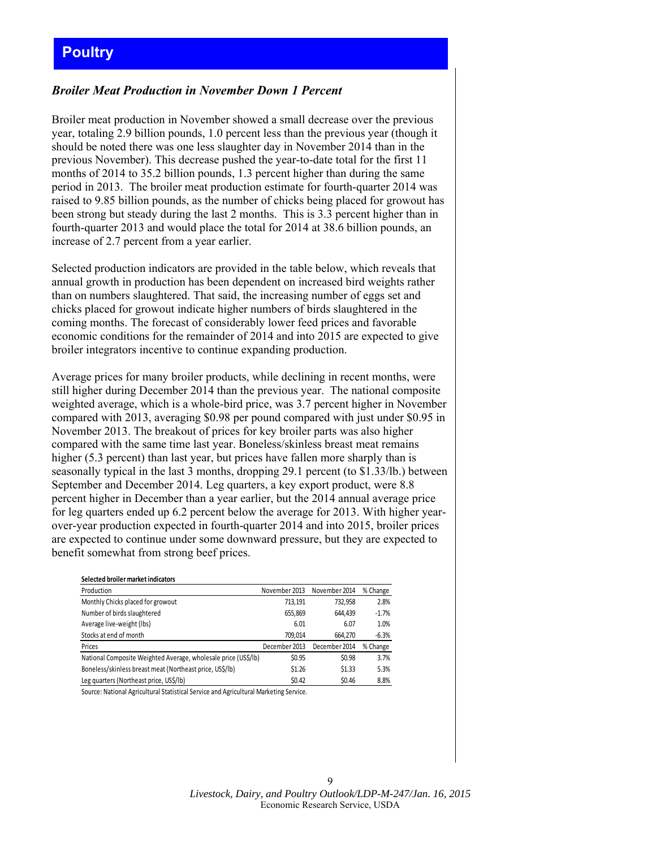# <span id="page-8-0"></span>**Poultry**

### *Broiler Meat Production in November Down 1 Percent*

Broiler meat production in November showed a small decrease over the previous year, totaling 2.9 billion pounds, 1.0 percent less than the previous year (though it should be noted there was one less slaughter day in November 2014 than in the previous November). This decrease pushed the year-to-date total for the first 11 months of 2014 to 35.2 billion pounds, 1.3 percent higher than during the same period in 2013. The broiler meat production estimate for fourth-quarter 2014 was raised to 9.85 billion pounds, as the number of chicks being placed for growout has been strong but steady during the last 2 months. This is 3.3 percent higher than in fourth-quarter 2013 and would place the total for 2014 at 38.6 billion pounds, an increase of 2.7 percent from a year earlier.

Selected production indicators are provided in the table below, which reveals that annual growth in production has been dependent on increased bird weights rather than on numbers slaughtered. That said, the increasing number of eggs set and chicks placed for growout indicate higher numbers of birds slaughtered in the coming months. The forecast of considerably lower feed prices and favorable economic conditions for the remainder of 2014 and into 2015 are expected to give broiler integrators incentive to continue expanding production.

Average prices for many broiler products, while declining in recent months, were still higher during December 2014 than the previous year. The national composite weighted average, which is a whole-bird price, was 3.7 percent higher in November compared with 2013, averaging \$0.98 per pound compared with just under \$0.95 in November 2013. The breakout of prices for key broiler parts was also higher compared with the same time last year. Boneless/skinless breast meat remains higher (5.3 percent) than last year, but prices have fallen more sharply than is seasonally typical in the last 3 months, dropping 29.1 percent (to \$1.33/lb.) between September and December 2014. Leg quarters, a key export product, were 8.8 percent higher in December than a year earlier, but the 2014 annual average price for leg quarters ended up 6.2 percent below the average for 2013. With higher yearover-year production expected in fourth-quarter 2014 and into 2015, broiler prices are expected to continue under some downward pressure, but they are expected to benefit somewhat from strong beef prices.

| Selected broiler market indicators                             |               |               |          |
|----------------------------------------------------------------|---------------|---------------|----------|
| Production                                                     | November 2013 | November 2014 | % Change |
| Monthly Chicks placed for growout                              | 713.191       | 732,958       | 2.8%     |
| Number of birds slaughtered                                    | 655,869       | 644.439       | $-1.7%$  |
| Average live-weight (lbs)                                      | 6.01          | 6.07          | 1.0%     |
| Stocks at end of month                                         | 709.014       | 664.270       | $-6.3%$  |
| Prices                                                         | December 2013 | December 2014 | % Change |
| National Composite Weighted Average, wholesale price (US\$/lb) | \$0.95        | \$0.98        | 3.7%     |
| Boneless/skinless breast meat (Northeast price, US\$/lb)       | \$1.26        | \$1.33        | 5.3%     |
| Leg quarters (Northeast price, US\$/lb)                        | \$0.42        | \$0.46        | 8.8%     |

Source: National Agricultural Statistical Service and Agricultural Marketing Service.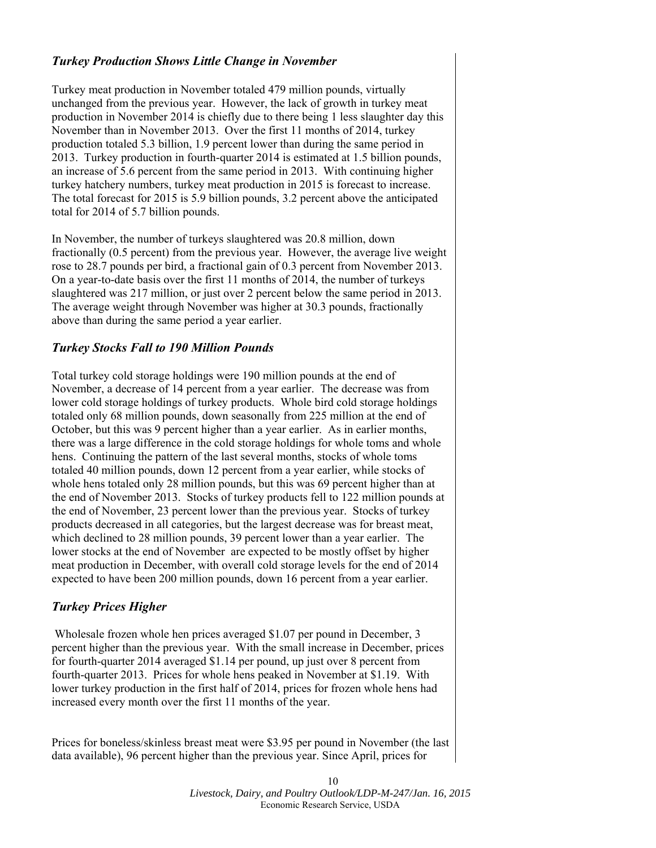### *Turkey Production Shows Little Change in November*

Turkey meat production in November totaled 479 million pounds, virtually unchanged from the previous year. However, the lack of growth in turkey meat production in November 2014 is chiefly due to there being 1 less slaughter day this November than in November 2013. Over the first 11 months of 2014, turkey production totaled 5.3 billion, 1.9 percent lower than during the same period in 2013. Turkey production in fourth-quarter 2014 is estimated at 1.5 billion pounds, an increase of 5.6 percent from the same period in 2013. With continuing higher turkey hatchery numbers, turkey meat production in 2015 is forecast to increase. The total forecast for 2015 is 5.9 billion pounds, 3.2 percent above the anticipated total for 2014 of 5.7 billion pounds.

In November, the number of turkeys slaughtered was 20.8 million, down fractionally (0.5 percent) from the previous year. However, the average live weight rose to 28.7 pounds per bird, a fractional gain of 0.3 percent from November 2013. On a year-to-date basis over the first 11 months of 2014, the number of turkeys slaughtered was 217 million, or just over 2 percent below the same period in 2013. The average weight through November was higher at 30.3 pounds, fractionally above than during the same period a year earlier.

### *Turkey Stocks Fall to 190 Million Pounds*

Total turkey cold storage holdings were 190 million pounds at the end of November, a decrease of 14 percent from a year earlier. The decrease was from lower cold storage holdings of turkey products. Whole bird cold storage holdings totaled only 68 million pounds, down seasonally from 225 million at the end of October, but this was 9 percent higher than a year earlier. As in earlier months, there was a large difference in the cold storage holdings for whole toms and whole hens. Continuing the pattern of the last several months, stocks of whole toms totaled 40 million pounds, down 12 percent from a year earlier, while stocks of whole hens totaled only 28 million pounds, but this was 69 percent higher than at the end of November 2013. Stocks of turkey products fell to 122 million pounds at the end of November, 23 percent lower than the previous year. Stocks of turkey products decreased in all categories, but the largest decrease was for breast meat, which declined to 28 million pounds, 39 percent lower than a year earlier. The lower stocks at the end of November are expected to be mostly offset by higher meat production in December, with overall cold storage levels for the end of 2014 expected to have been 200 million pounds, down 16 percent from a year earlier.

### *Turkey Prices Higher*

 Wholesale frozen whole hen prices averaged \$1.07 per pound in December, 3 percent higher than the previous year. With the small increase in December, prices for fourth-quarter 2014 averaged \$1.14 per pound, up just over 8 percent from fourth-quarter 2013. Prices for whole hens peaked in November at \$1.19. With lower turkey production in the first half of 2014, prices for frozen whole hens had increased every month over the first 11 months of the year.

Prices for boneless/skinless breast meat were \$3.95 per pound in November (the last data available), 96 percent higher than the previous year. Since April, prices for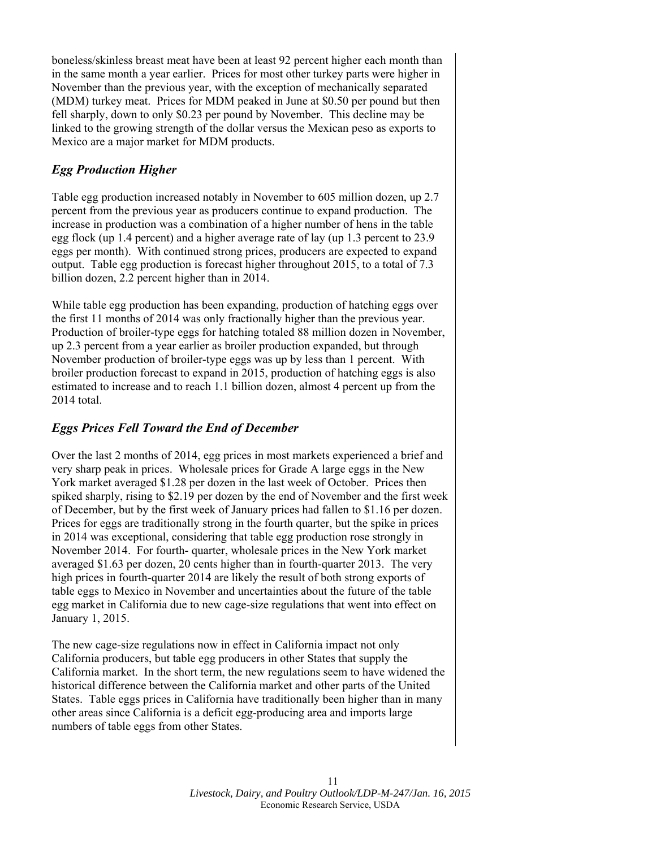boneless/skinless breast meat have been at least 92 percent higher each month than in the same month a year earlier. Prices for most other turkey parts were higher in November than the previous year, with the exception of mechanically separated (MDM) turkey meat. Prices for MDM peaked in June at \$0.50 per pound but then fell sharply, down to only \$0.23 per pound by November. This decline may be linked to the growing strength of the dollar versus the Mexican peso as exports to Mexico are a major market for MDM products.

# *Egg Production Higher*

Table egg production increased notably in November to 605 million dozen, up 2.7 percent from the previous year as producers continue to expand production. The increase in production was a combination of a higher number of hens in the table egg flock (up 1.4 percent) and a higher average rate of lay (up 1.3 percent to 23.9 eggs per month). With continued strong prices, producers are expected to expand output. Table egg production is forecast higher throughout 2015, to a total of 7.3 billion dozen, 2.2 percent higher than in 2014.

While table egg production has been expanding, production of hatching eggs over the first 11 months of 2014 was only fractionally higher than the previous year. Production of broiler-type eggs for hatching totaled 88 million dozen in November, up 2.3 percent from a year earlier as broiler production expanded, but through November production of broiler-type eggs was up by less than 1 percent. With broiler production forecast to expand in 2015, production of hatching eggs is also estimated to increase and to reach 1.1 billion dozen, almost 4 percent up from the 2014 total.

# *Eggs Prices Fell Toward the End of December*

Over the last 2 months of 2014, egg prices in most markets experienced a brief and very sharp peak in prices. Wholesale prices for Grade A large eggs in the New York market averaged \$1.28 per dozen in the last week of October. Prices then spiked sharply, rising to \$2.19 per dozen by the end of November and the first week of December, but by the first week of January prices had fallen to \$1.16 per dozen. Prices for eggs are traditionally strong in the fourth quarter, but the spike in prices in 2014 was exceptional, considering that table egg production rose strongly in November 2014. For fourth- quarter, wholesale prices in the New York market averaged \$1.63 per dozen, 20 cents higher than in fourth-quarter 2013. The very high prices in fourth-quarter 2014 are likely the result of both strong exports of table eggs to Mexico in November and uncertainties about the future of the table egg market in California due to new cage-size regulations that went into effect on January 1, 2015.

The new cage-size regulations now in effect in California impact not only California producers, but table egg producers in other States that supply the California market. In the short term, the new regulations seem to have widened the historical difference between the California market and other parts of the United States. Table eggs prices in California have traditionally been higher than in many other areas since California is a deficit egg-producing area and imports large numbers of table eggs from other States.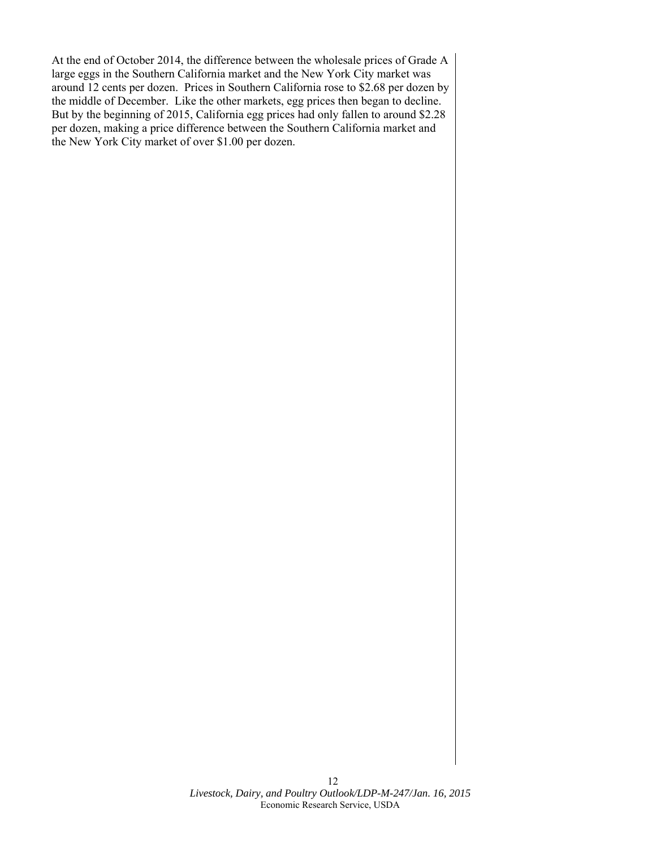At the end of October 2014, the difference between the wholesale prices of Grade A large eggs in the Southern California market and the New York City market was around 12 cents per dozen. Prices in Southern California rose to \$2.68 per dozen by the middle of December. Like the other markets, egg prices then began to decline. But by the beginning of 2015, California egg prices had only fallen to around \$2.28 per dozen, making a price difference between the Southern California market and the New York City market of over \$1.00 per dozen.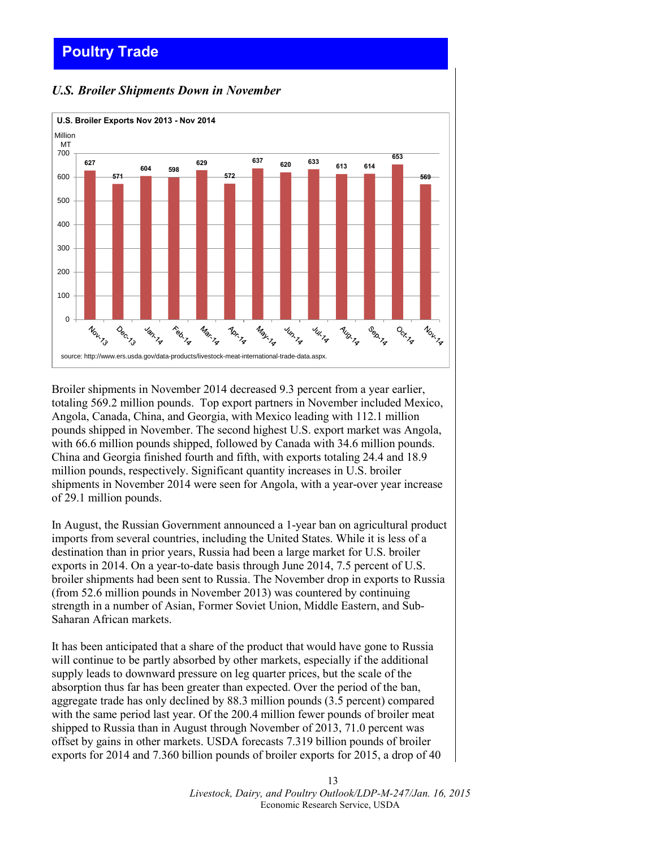# <span id="page-12-0"></span>**Poultry Trade**

### *U.S. Broiler Shipments Down in November*



Broiler shipments in November 2014 decreased 9.3 percent from a year earlier, totaling 569.2 million pounds. Top export partners in November included Mexico, Angola, Canada, China, and Georgia, with Mexico leading with 112.1 million pounds shipped in November. The second highest U.S. export market was Angola, with 66.6 million pounds shipped, followed by Canada with 34.6 million pounds. China and Georgia finished fourth and fifth, with exports totaling 24.4 and 18.9 million pounds, respectively. Significant quantity increases in U.S. broiler shipments in November 2014 were seen for Angola, with a year-over year increase of 29.1 million pounds.

In August, the Russian Government announced a 1-year ban on agricultural product imports from several countries, including the United States. While it is less of a destination than in prior years, Russia had been a large market for U.S. broiler exports in 2014. On a year-to-date basis through June 2014, 7.5 percent of U.S. broiler shipments had been sent to Russia. The November drop in exports to Russia (from 52.6 million pounds in November 2013) was countered by continuing strength in a number of Asian, Former Soviet Union, Middle Eastern, and Sub-Saharan African markets.

It has been anticipated that a share of the product that would have gone to Russia will continue to be partly absorbed by other markets, especially if the additional supply leads to downward pressure on leg quarter prices, but the scale of the absorption thus far has been greater than expected. Over the period of the ban, aggregate trade has only declined by 88.3 million pounds (3.5 percent) compared with the same period last year. Of the 200.4 million fewer pounds of broiler meat shipped to Russia than in August through November of 2013, 71.0 percent was offset by gains in other markets. USDA forecasts 7.319 billion pounds of broiler exports for 2014 and 7.360 billion pounds of broiler exports for 2015, a drop of 40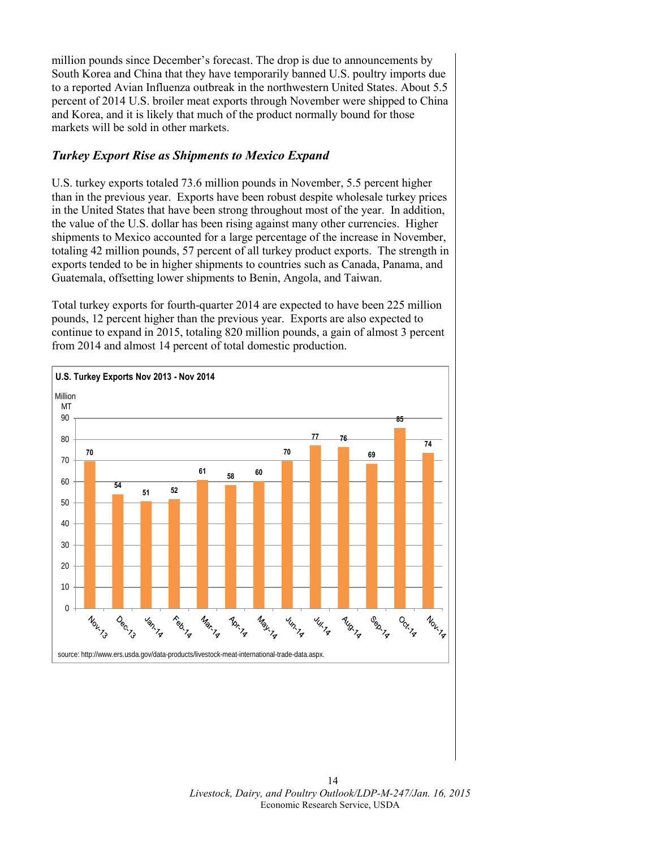million pounds since December's forecast. The drop is due to announcements by South Korea and China that they have temporarily banned U.S. poultry imports due to a reported Avian Influenza outbreak in the northwestern United States. About 5.5 percent of 2014 U.S. broiler meat exports through November were shipped to China and Korea, and it is likely that much of the product normally bound for those markets will be sold in other markets.

### *Turkey Export Rise as Shipments to Mexico Expand*

U.S. turkey exports totaled 73.6 million pounds in November, 5.5 percent higher than in the previous year. Exports have been robust despite wholesale turkey prices in the United States that have been strong throughout most of the year. In addition, the value of the U.S. dollar has been rising against many other currencies. Higher shipments to Mexico accounted for a large percentage of the increase in November, totaling 42 million pounds, 57 percent of all turkey product exports. The strength in exports tended to be in higher shipments to countries such as Canada, Panama, and Guatemala, offsetting lower shipments to Benin, Angola, and Taiwan.

Total turkey exports for fourth-quarter 2014 are expected to have been 225 million pounds, 12 percent higher than the previous year. Exports are also expected to continue to expand in 2015, totaling 820 million pounds, a gain of almost 3 percent from 2014 and almost 14 percent of total domestic production.

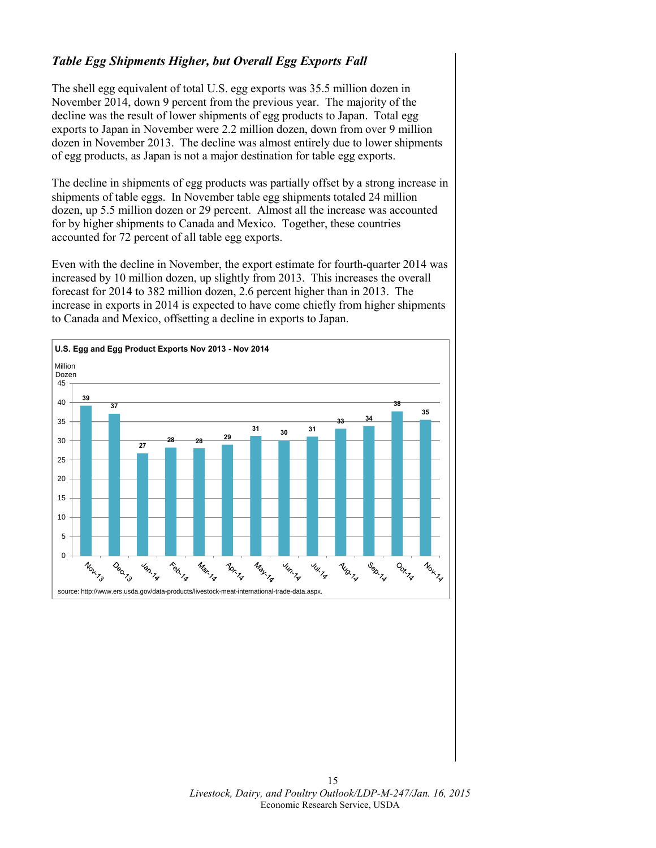# *Table Egg Shipments Higher, but Overall Egg Exports Fall*

The shell egg equivalent of total U.S. egg exports was 35.5 million dozen in November 2014, down 9 percent from the previous year. The majority of the decline was the result of lower shipments of egg products to Japan. Total egg exports to Japan in November were 2.2 million dozen, down from over 9 million dozen in November 2013. The decline was almost entirely due to lower shipments of egg products, as Japan is not a major destination for table egg exports.

The decline in shipments of egg products was partially offset by a strong increase in shipments of table eggs. In November table egg shipments totaled 24 million dozen, up 5.5 million dozen or 29 percent. Almost all the increase was accounted for by higher shipments to Canada and Mexico. Together, these countries accounted for 72 percent of all table egg exports.

Even with the decline in November, the export estimate for fourth-quarter 2014 was increased by 10 million dozen, up slightly from 2013. This increases the overall forecast for 2014 to 382 million dozen, 2.6 percent higher than in 2013. The increase in exports in 2014 is expected to have come chiefly from higher shipments to Canada and Mexico, offsetting a decline in exports to Japan.

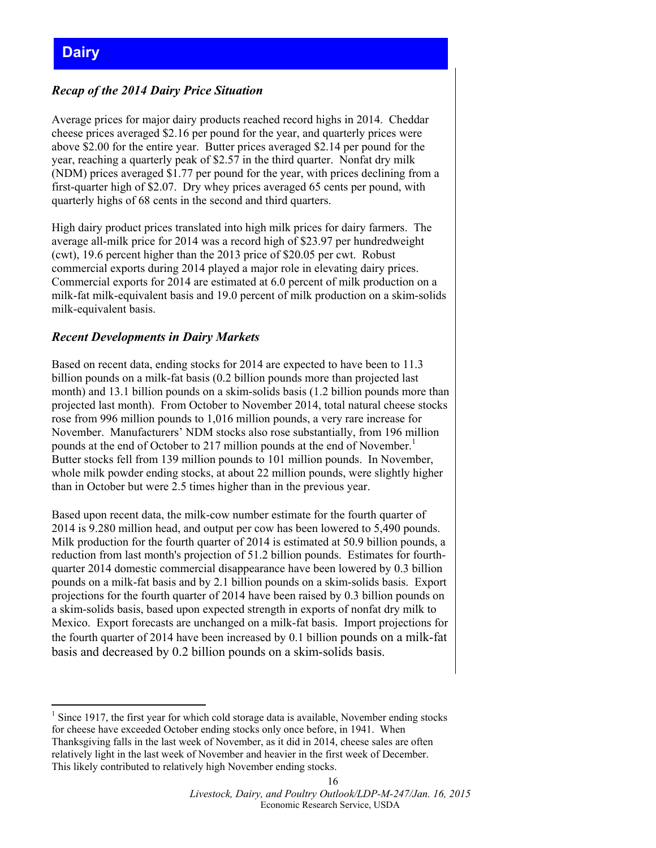### <span id="page-15-0"></span>*Recap of the 2014 Dairy Price Situation*

Average prices for major dairy products reached record highs in 2014. Cheddar cheese prices averaged \$2.16 per pound for the year, and quarterly prices were above \$2.00 for the entire year. Butter prices averaged \$2.14 per pound for the year, reaching a quarterly peak of \$2.57 in the third quarter. Nonfat dry milk (NDM) prices averaged \$1.77 per pound for the year, with prices declining from a first-quarter high of \$2.07. Dry whey prices averaged 65 cents per pound, with quarterly highs of 68 cents in the second and third quarters.

High dairy product prices translated into high milk prices for dairy farmers. The average all-milk price for 2014 was a record high of \$23.97 per hundredweight (cwt), 19.6 percent higher than the 2013 price of \$20.05 per cwt. Robust commercial exports during 2014 played a major role in elevating dairy prices. Commercial exports for 2014 are estimated at 6.0 percent of milk production on a milk-fat milk-equivalent basis and 19.0 percent of milk production on a skim-solids milk-equivalent basis.

### *Recent Developments in Dairy Markets*

Based on recent data, ending stocks for 2014 are expected to have been to 11.3 billion pounds on a milk-fat basis (0.2 billion pounds more than projected last month) and 13.1 billion pounds on a skim-solids basis (1.2 billion pounds more than projected last month). From October to November 2014, total natural cheese stocks rose from 996 million pounds to 1,016 million pounds, a very rare increase for November. Manufacturers' NDM stocks also rose substantially, from 196 million pounds at the end of October to 217 million pounds at the end of November.<sup>1</sup> Butter stocks fell from 139 million pounds to 101 million pounds. In November, whole milk powder ending stocks, at about 22 million pounds, were slightly higher than in October but were 2.5 times higher than in the previous year.

Based upon recent data, the milk-cow number estimate for the fourth quarter of 2014 is 9.280 million head, and output per cow has been lowered to 5,490 pounds. Milk production for the fourth quarter of 2014 is estimated at 50.9 billion pounds, a reduction from last month's projection of 51.2 billion pounds. Estimates for fourthquarter 2014 domestic commercial disappearance have been lowered by 0.3 billion pounds on a milk-fat basis and by 2.1 billion pounds on a skim-solids basis. Export projections for the fourth quarter of 2014 have been raised by 0.3 billion pounds on a skim-solids basis, based upon expected strength in exports of nonfat dry milk to Mexico. Export forecasts are unchanged on a milk-fat basis. Import projections for the fourth quarter of 2014 have been increased by 0.1 billion pounds on a milk-fat basis and decreased by 0.2 billion pounds on a skim-solids basis.

<sup>&</sup>lt;u>.</u>  $<sup>1</sup>$  Since 1917, the first year for which cold storage data is available, November ending stocks</sup> for cheese have exceeded October ending stocks only once before, in 1941. When Thanksgiving falls in the last week of November, as it did in 2014, cheese sales are often relatively light in the last week of November and heavier in the first week of December. This likely contributed to relatively high November ending stocks.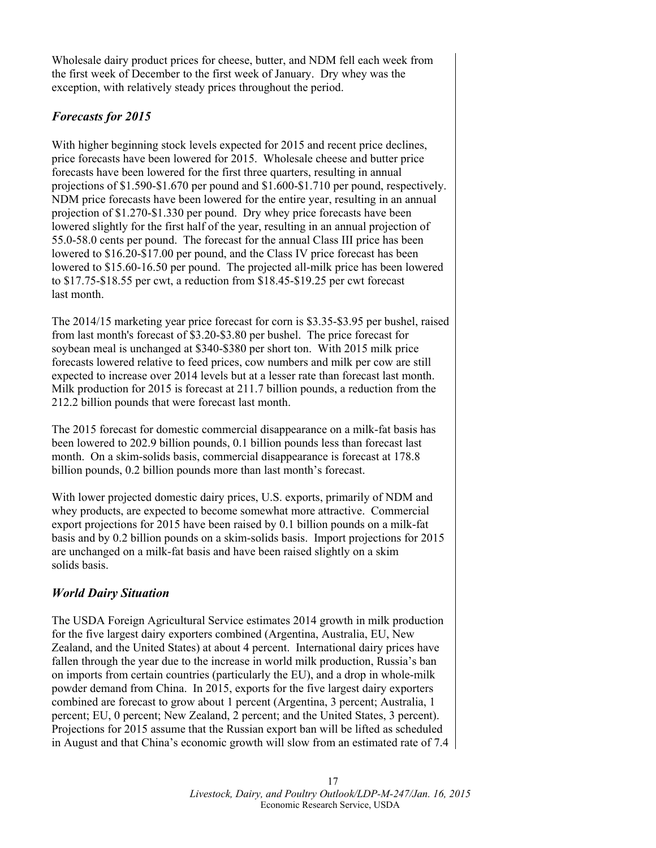Wholesale dairy product prices for cheese, butter, and NDM fell each week from the first week of December to the first week of January. Dry whey was the exception, with relatively steady prices throughout the period.

# *Forecasts for 2015*

With higher beginning stock levels expected for 2015 and recent price declines, price forecasts have been lowered for 2015. Wholesale cheese and butter price forecasts have been lowered for the first three quarters, resulting in annual projections of \$1.590-\$1.670 per pound and \$1.600-\$1.710 per pound, respectively. NDM price forecasts have been lowered for the entire year, resulting in an annual projection of \$1.270-\$1.330 per pound. Dry whey price forecasts have been lowered slightly for the first half of the year, resulting in an annual projection of 55.0-58.0 cents per pound. The forecast for the annual Class III price has been lowered to \$16.20-\$17.00 per pound, and the Class IV price forecast has been lowered to \$15.60-16.50 per pound. The projected all-milk price has been lowered to \$17.75-\$18.55 per cwt, a reduction from \$18.45-\$19.25 per cwt forecast last month.

The 2014/15 marketing year price forecast for corn is \$3.35-\$3.95 per bushel, raised from last month's forecast of \$3.20-\$3.80 per bushel. The price forecast for soybean meal is unchanged at \$340-\$380 per short ton. With 2015 milk price forecasts lowered relative to feed prices, cow numbers and milk per cow are still expected to increase over 2014 levels but at a lesser rate than forecast last month. Milk production for 2015 is forecast at 211.7 billion pounds, a reduction from the 212.2 billion pounds that were forecast last month.

The 2015 forecast for domestic commercial disappearance on a milk-fat basis has been lowered to 202.9 billion pounds, 0.1 billion pounds less than forecast last month. On a skim-solids basis, commercial disappearance is forecast at 178.8 billion pounds, 0.2 billion pounds more than last month's forecast.

With lower projected domestic dairy prices, U.S. exports, primarily of NDM and whey products, are expected to become somewhat more attractive. Commercial export projections for 2015 have been raised by 0.1 billion pounds on a milk-fat basis and by 0.2 billion pounds on a skim-solids basis. Import projections for 2015 are unchanged on a milk-fat basis and have been raised slightly on a skim solids basis.

# *World Dairy Situation*

The USDA Foreign Agricultural Service estimates 2014 growth in milk production for the five largest dairy exporters combined (Argentina, Australia, EU, New Zealand, and the United States) at about 4 percent. International dairy prices have fallen through the year due to the increase in world milk production, Russia's ban on imports from certain countries (particularly the EU), and a drop in whole-milk powder demand from China. In 2015, exports for the five largest dairy exporters combined are forecast to grow about 1 percent (Argentina, 3 percent; Australia, 1 percent; EU, 0 percent; New Zealand, 2 percent; and the United States, 3 percent). Projections for 2015 assume that the Russian export ban will be lifted as scheduled in August and that China's economic growth will slow from an estimated rate of 7.4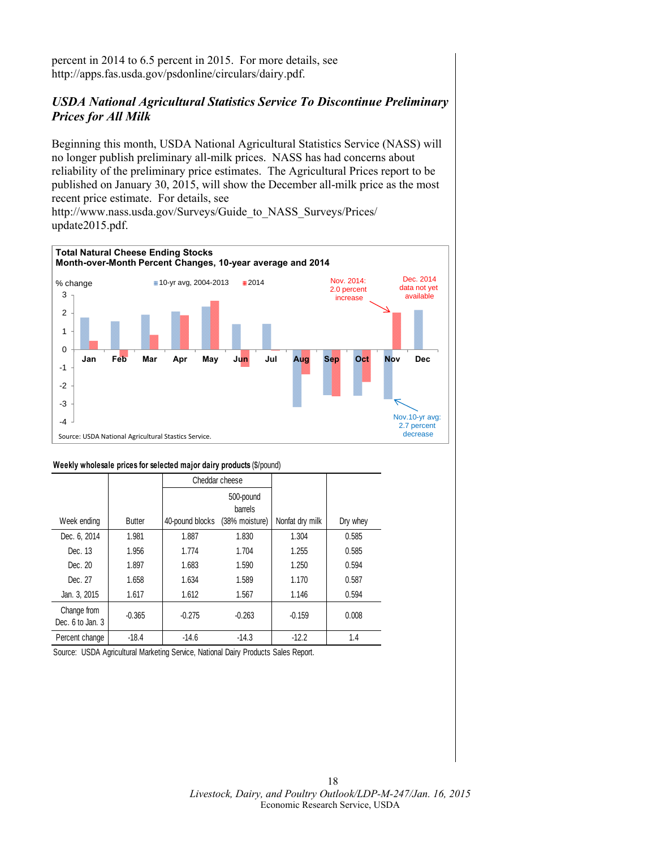percent in 2014 to 6.5 percent in 2015. For more details, see http://apps.fas.usda.gov/psdonline/circulars/dairy.pdf.

### *USDA National Agricultural Statistics Service To Discontinue Preliminary Prices for All Milk*

Beginning this month, USDA National Agricultural Statistics Service (NASS) will no longer publish preliminary all-milk prices. NASS has had concerns about reliability of the preliminary price estimates. The Agricultural Prices report to be published on January 30, 2015, will show the December all-milk price as the most recent price estimate. For details, see http://www.nass.usda.gov/Surveys/Guide\_to\_NASS\_Surveys/Prices/ update2015.pdf.



#### **Weekly wholesale prices for selected major dairy products** (\$/pound)

|                                 |               |                 | Cheddar cheese                         |                 |          |
|---------------------------------|---------------|-----------------|----------------------------------------|-----------------|----------|
| Week ending                     | <b>Butter</b> | 40-pound blocks | 500-pound<br>barrels<br>(38% moisture) | Nonfat dry milk | Dry whey |
| Dec. 6, 2014                    | 1.981         | 1.887           | 1.830                                  | 1.304           | 0.585    |
| Dec. 13                         | 1.956         | 1.774           | 1.704                                  | 1.255           | 0.585    |
| Dec. 20                         | 1.897         | 1.683           | 1.590                                  | 1.250           | 0.594    |
| Dec. 27                         | 1.658         | 1.634           | 1.589                                  | 1.170           | 0.587    |
| Jan. 3, 2015                    | 1.617         | 1.612           | 1.567                                  | 1.146           | 0.594    |
| Change from<br>Dec. 6 to Jan. 3 | $-0.365$      | $-0.275$        | $-0.263$                               | $-0.159$        | 0.008    |
| Percent change                  | $-18.4$       | $-14.6$         | $-14.3$                                | $-12.2$         | 1.4      |

Source: USDA Agricultural Marketing Service, National Dairy Products Sales Report.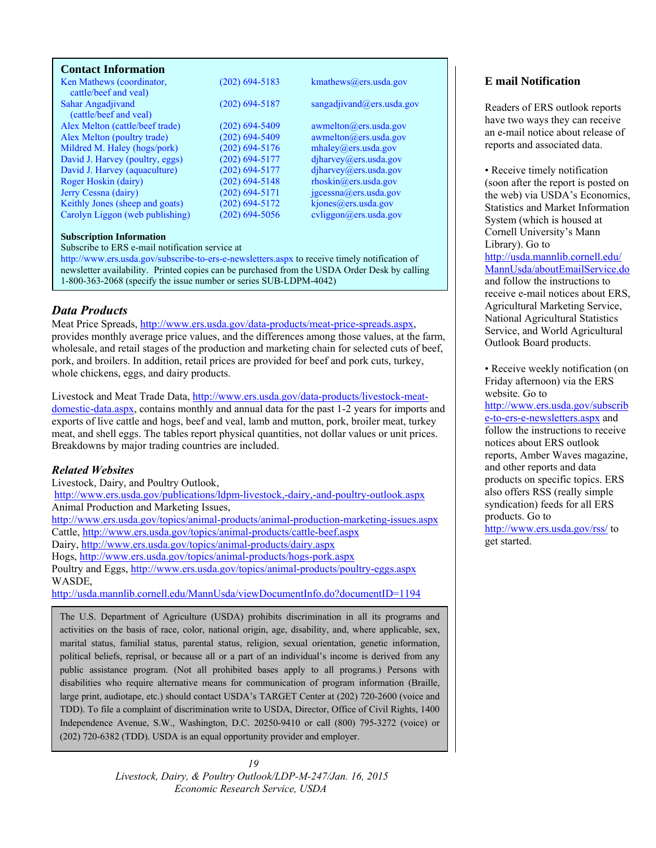### <span id="page-18-0"></span>**Contact Information**

| Ken Mathews (coordinator,<br>cattle/beef and yeal) | $(202)$ 694-5183   | kmathews@ers.usda.gov                |
|----------------------------------------------------|--------------------|--------------------------------------|
| Sahar Angadjivand                                  | $(202)$ 694-5187   | sangadjivand@ers.usda.gov            |
| (cattle/beef and yeal)                             |                    |                                      |
| Alex Melton (cattle/beef trade)                    | $(202)$ 694-5409   | $a$ wmelton $(a)$ ers.usda.gov       |
| Alex Melton (poultry trade)                        | $(202) 694 - 5409$ | awmelton@ers.usda.gov                |
| Mildred M. Haley (hogs/pork)                       | $(202)$ 694-5176   | mhalev@ers.usda.gov                  |
| David J. Harvey (poultry, eggs)                    | $(202)$ 694-5177   | diharvey@ers.usda.gov                |
| David J. Harvey (aquaculture)                      | $(202)$ 694-5177   | diharvey@ers.usda.gov                |
| Roger Hoskin (dairy)                               | $(202)$ 694-5148   | $r \text{hosh}(\omega)$ ers.usda.gov |
| Jerry Cessna (dairy)                               | $(202)$ 694-5171   | $j$ gcessna $(a)$ ers.usda.gov       |
| Keithly Jones (sheep and goats)                    | $(202)$ 694-5172   | kjones@ers.usda.gov                  |
| Carolyn Liggon (web publishing)                    | $(202)$ 694-5056   | cvliggon@ers.usda.gov                |

#### **Subscription Information**

Subscribe to ERS e-mail notification service at

http://www.ers.usda.gov/subscribe-to-ers-e-newsletters.aspx to receive timely notification of newsletter availability. Printed copies can be purchased from the USDA Order Desk by calling 1-800-363-2068 (specify the issue number or series SUB-LDPM-4042)

### *Data Products*

Meat Price Spreads, http://www.ers.usda.gov/data-products/meat-price-spreads.aspx, provides monthly average price values, and the differences among those values, at the farm, wholesale, and retail stages of the production and marketing chain for selected cuts of beef, pork, and broilers. In addition, retail prices are provided for beef and pork cuts, turkey, whole chickens, eggs, and dairy products.

Livestock and Meat Trade Data, http://www.ers.usda.gov/data-products/livestock-meatdomestic-data.aspx, contains monthly and annual data for the past 1-2 years for imports and exports of live cattle and hogs, beef and veal, lamb and mutton, pork, broiler meat, turkey meat, and shell eggs. The tables report physical quantities, not dollar values or unit prices. Breakdowns by major trading countries are included.

### *Related Websites*

Livestock, Dairy, and Poultry Outlook, http://www.ers.usda.gov/publications/ldpm-livestock,-dairy,-and-poultry-outlook.aspx Animal Production and Marketing Issues, http://www.ers.usda.gov/topics/animal-products/animal-production-marketing-issues.aspx Cattle, http://www.ers.usda.gov/topics/animal-products/cattle-beef.aspx Dairy, http://www.ers.usda.gov/topics/animal-products/dairy.aspx Hogs, http://www.ers.usda.gov/topics/animal-products/hogs-pork.aspx Poultry and Eggs, http://www.ers.usda.gov/topics/animal-products/poultry-eggs.aspx WASDE, http://usda.mannlib.cornell.edu/MannUsda/viewDocumentInfo.do?documentID=1194

The U.S. Department of Agriculture (USDA) prohibits discrimination in all its programs and activities on the basis of race, color, national origin, age, disability, and, where applicable, sex, marital status, familial status, parental status, religion, sexual orientation, genetic information, political beliefs, reprisal, or because all or a part of an individual's income is derived from any public assistance program. (Not all prohibited bases apply to all programs.) Persons with disabilities who require alternative means for communication of program information (Braille, large print, audiotape, etc.) should contact USDA's TARGET Center at (202) 720-2600 (voice and TDD). To file a complaint of discrimination write to USDA, Director, Office of Civil Rights, 1400 Independence Avenue, S.W., Washington, D.C. 20250-9410 or call (800) 795-3272 (voice) or (202) 720-6382 (TDD). USDA is an equal opportunity provider and employer.

> *19 Livestock, Dairy, & Poultry Outlook/LDP-M-247/Jan. 16, 2015 Economic Research Service, USDA*

### **E mail Notification**

Readers of ERS outlook reports have two ways they can receive an e-mail notice about release of reports and associated data.

• Receive timely notification (soon after the report is posted on the web) via USDA's Economics, Statistics and Market Information System (which is housed at Cornell University's Mann Library). Go to http://usda.mannlib.cornell.edu/ MannUsda/aboutEmailService.do and follow the instructions to receive e-mail notices about ERS, Agricultural Marketing Service, National Agricultural Statistics Service, and World Agricultural Outlook Board products.

• Receive weekly notification (on Friday afternoon) via the ERS website. Go to

http://www.ers.usda.gov/subscrib e-to-ers-e-newsletters.aspx and follow the instructions to receive notices about ERS outlook reports, Amber Waves magazine, and other reports and data products on specific topics. ERS also offers RSS (really simple syndication) feeds for all ERS products. Go to http://www.ers.usda.gov/rss/ to

get started.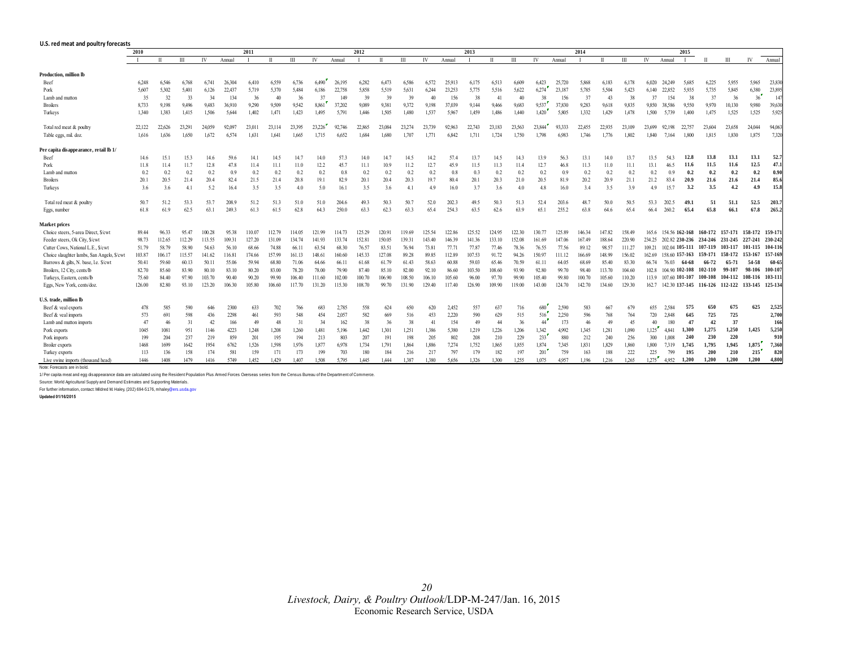<span id="page-19-0"></span>

| U.S. red meat and poultry forecasts            |              |              |        |        |        |        |              |        |        |        |        |            |              |        |        |        |        |        |        |        |        |        |        |        |                |                |         |                                                |        |         |
|------------------------------------------------|--------------|--------------|--------|--------|--------|--------|--------------|--------|--------|--------|--------|------------|--------------|--------|--------|--------|--------|--------|--------|--------|--------|--------|--------|--------|----------------|----------------|---------|------------------------------------------------|--------|---------|
|                                                | 2011<br>2010 |              |        |        |        |        | 2012<br>2013 |        |        |        |        |            |              | 2014   |        |        |        |        | 2015   |        |        |        |        |        |                |                |         |                                                |        |         |
|                                                |              | $\mathbf{I}$ | Ш      | IV     | Annual |        | $\mathbf{H}$ | Ш      | IV     | Annual |        | $_{\rm H}$ | $\mathbf{H}$ | IV     | Annual |        |        | Ш      | IV     | Annual |        |        | Ш      | IV     | Annual         |                |         | Ш                                              | IV     | Annual  |
| Production, million lb                         |              |              |        |        |        |        |              |        |        |        |        |            |              |        |        |        |        |        |        |        |        |        |        |        |                |                |         |                                                |        |         |
| Beef                                           | 6,248        | 6.546        | 6.768  | 6.741  | 26.304 | 6.410  | 6,559        | 6,736  | 6.490  | 26,195 | 6,282  | 6.473      | 6.586        | 6.572  | 25.913 | 6,175  | 6.513  | 6.609  | 6.423  | 25,720 | 5.868  | 6,183  | 6.178  | 6.020  | 24 24 9        | 5.685          | 6,225   | 5,955                                          | 5.965  | 23,830  |
| Pork                                           | 5,607        | 5,302        | 5.401  | 6,126  | 22.437 | 5.719  | 5,370        | 5,484  | 6,186  | 22,758 | 5,858  | 5.519      | 5.631        | 6.244  | 23.253 | 5,775  | 5.516  | 5,622  | 6.274  | 23.187 | 5.785  | 5.504  | 5.423  | 6.140  | 22.852         | 5.935          | 5,735   | 5,845                                          | 6.380  | 23,895  |
| Lamb and mutton                                | 35           | 32           | 33     | 34     | 134    | 36     | 4(           | 36     | 37     | 149    | 39     | 39         | 39           | 40     | 156    | 38     | 41     | 40     | 38     | 156    | 37     | 43     | 38     | 37     | 154            | 38             | 37      | 36                                             | 36     | 147     |
| <b>Broilers</b>                                | 8,733        | 9,198        | 9,496  | 9,483  | 36,910 | 9,290  | 9,509        | 9,542  | 8,861  | 37,202 | 9,089  | 9,381      | 9.372        | 9,198  | 37,039 | 9,144  | 9,466  | 9,683  | 9,537  | 37,830 | 9,283  | 9,618  | 9,835  | 9,850  | 38.586         | 9,550          | 9,970   | 10,130                                         | 9.980  | 39,630  |
| Turkeys                                        | 1,340        | 1.383        | 1.415  | 1.506  | 5.644  | 1,402  | 1.471        | 1.423  | 1.495  | 5,791  | 1.446  | 1.505      | 1.480        | 1,537  | 5.967  | 1,459  | 1.486  | 1,440  | 1,420  | 5,805  | 1,332  | 1,429  | 1.478  | 1.500  | 5.739          | 1.400          | 1.475   | 1,525                                          | 1.525  | 5.925   |
| Total red meat & poultry                       | 22,122       | 22.626       | 23,291 | 24.059 | 92,097 | 23.011 | 23,114       | 23.395 | 23,226 | 92,746 | 22,865 | 23,084     | 23.274       | 23,739 | 92.963 | 22,743 | 23.183 | 23.563 | 23,844 | 93,333 | 22,455 | 22,935 | 23.109 | 23.699 | 92.198         | 22.757         | 23.604  | 23,658                                         | 24.044 | 94,063  |
| Table eggs, mil. doz.                          | 1.616        | 1,636        | 1.650  | 1.672  | 6.574  | 1.631  | 1.641        | 1.665  | 1.715  | 6.652  | 1,684  | 1.680      | 1.707        | 1.771  | 6.842  | 1.711  | 1.724  | 1.750  | 1.798  | 6.983  | 1.746  | 1.776  | 1.802  | 1.840  | 7.164          | 1.800          | 1.815   | 1,830                                          | 1.875  | 7.320   |
| Per capita disappearance, retail lb 1/         |              |              |        |        |        |        |              |        |        |        |        |            |              |        |        |        |        |        |        |        |        |        |        |        |                |                |         |                                                |        |         |
| Beef                                           | 14.6         | 15.1         | 15.3   | 14.6   | 59.6   | 14.1   | 14.5         | 14.7   | 14.0   | 57.3   | 14.0   | 14.7       | 14.5         | 14.2   | 57.4   | 13.7   | 14.5   | 14.3   | 13.9   | 56.3   | 13.1   | 14.0   | 13.7   | 13.5   | 54.3           | 12.8           | 13.8    | 13.1                                           | 13.1   | 52.7    |
| Pork                                           | 11.8         | 11.4         | 11.7   | 12.8   | 47.8   | 11.4   | 11.1         | 11.0   | 12.2   | 45.7   | 11.1   | 10.9       | 11.2         | 12.7   | 45.9   | 11.5   | 11.3   | 11.4   | 12.7   | 46.8   | 11.3   | 11.0   | 11.1   | 13.1   | 46.5           | 11.6           | 11.5    | 11.6                                           | 12.5   | 47.1    |
| Lamb and mutton                                | 0.2          | 0.2          | 0.2    | 0.2    | 0.9    | 0.2    | 0.2          | 0.2    | 0.2    | 0.8    | 0.2    | 0.2        | 0.2          | 0.2    | 0.8    | 0.3    | 0.2    | 0.2    | 0.2    | 0.9    | 0.2    | 0.2    | 0.2    | 0.2    | 0.9            | 0.2            | 0.2     | 0.2                                            | 0.2    | 0.90    |
| <b>Broilers</b>                                | 20.1         | 20.5         | 21.4   | 20.4   | 82.4   | 21.5   | 21.4         | 20.8   | 19.1   | 82.9   | 20.1   | 20.4       | 20.3         | 19.7   | 80.4   | 20.1   | 20.3   | 21.0   | 20.5   | 81.9   | 20.2   | 20.9   | 21.1   | 21.2   | 83.4           | 20.9           | 21.6    | 21.6                                           | 21.4   | 85.6    |
| Turkeys                                        | 3.6          | 3.6          | 4.1    | 5.2    | 16.4   | 3.5    | 3.5          | 4.0    | 5.0    | 16.1   | 3.5    | 3.6        | 4.1          | 4.9    | 16.0   | 3.7    | 3.6    | 4.0    | 4.8    | 16.0   | 3.4    | 3.5    | 3.9    | 4.9    | 15.7           | 3.2            | 3.5     | 4.2                                            | 4.9    | 15.8    |
| Total red meat & poultry                       | 50.7         | 51.2         | 53.3   | 53.7   | 208.9  | 51.2   | 51.3         | 51.0   | 51.0   | 204.6  | 49.3   | 50.3       | 50.7         | 52.0   | 202.3  | 49.5   | 50.3   | 51.3   | 52.4   | 203.6  | 48.7   | 50.0   | 50.5   | 53.3   | 202.5          | 49.1           | 51      | 51.1                                           | 52.5   | 203.7   |
| Eggs, number                                   | 61.8         | 61.9         | 62.5   | 63.1   | 2493   | 61.3   | 61.5         | 62.8   | 64.3   | 2500   | 63.3   | 62.3       | 63.3         | 65.4   | 254.3  | 63.5   | 62.6   | 63.9   | 65.1   | 255.2  | 63.8   | 64.6   | 65.4   | 66.4   | 260.2          | 65.4           | 65.8    | 66.1                                           | 67.8   | 265.2   |
| <b>Market prices</b>                           |              |              |        |        |        |        |              |        |        |        |        |            |              |        |        |        |        |        |        |        |        |        |        |        |                |                |         |                                                |        |         |
| Choice steers. 5-area Direct. S/cwt            | 89.44        | 96.33        | 95.47  | 100.28 | 95.38  | 110.07 | 112.79       | 114.05 | 121.99 | 114.73 | 125.29 | 120.91     | 119.69       | 125.54 | 122.86 | 125.52 | 124.95 | 122.30 | 130.77 | 125.89 | 146.34 | 147.82 | 158.49 | 165.6  |                | 154.56 162-168 |         | 160-172 157-171 158-172 159-171                |        |         |
| Feeder steers, Ok City, \$/cwt                 | 98.73        | 112.65       | 112.29 | 113.55 | 109.31 | 127.20 | 131.09       | 134.74 | 141.93 | 133.74 | 152.81 | 150.05     | 139.31       | 143.40 | 146.39 | 141.36 | 133.10 | 152.08 | 161.69 | 147.06 | 167.49 | 188.64 | 220.90 | 234 25 |                |                |         | 202 82 230-236 234-246 231-245 227-241         |        | 230-242 |
| Cutter Cows, National L.E., \$/cwt             | 51.79        | 58.79        | 58.90  | 54.63  | 56.10  | 68.66  | 74.88        | 66.11  | 63.54  | 68.30  | 76.57  | 83.51      | 76.94        | 73.81  | 77.71  | 77.87  | 77.46  | 78.36  | 76.55  | 77.56  | 89.12  | 98.57  | 111.27 | 109 21 |                |                |         | 102.04 105-111 107-119 103-117 101-115 104-116 |        |         |
| Choice slaughter lambs, San Angelo, \$/cwt     | 103.87       | 106.17       | 115.57 | 141.62 | 116.81 | 174.66 | 157.99       | 161.13 | 148.61 | 160.60 | 145.33 | 127.08     | 89.28        | 89.85  | 112.89 | 107.53 | 91.72  | 94.26  | 150.97 | 111.12 | 166.69 | 148.99 | 156.02 | 162.69 | 158 60 157-163 |                | 159-171 | 158-172 153-167                                |        | 157-169 |
| Barrows & gilts, N. base, Le. \$/cwt           | 50.41        | 59.60        | 60.13  | 50.11  | 55.06  | 59.94  | 68.80        | 71.06  | 64.66  | 66.11  | 61.68  | 61.79      | 61.43        | 58.63  | 60.88  | 59.03  | 65.46  | 70.59  | 61.11  | 64.05  | 68.69  | 85.40  | 83.30  | 66.74  | 76.03          | 64-68          | 66-72   | 65-71                                          | 54-58  | 60-65   |
| Broilers, 12 City, cents/lb                    | 82.70        | 85.60        | 83.90  | 80.10  | 83.10  | 80.20  | 83.00        | 78.20  | 78.00  | 79.90  | 87.40  | 85.10      | 82.00        | 92.10  | 86.60  | 103.50 | 108.60 | 93.90  | 92.80  | 99.70  | 98.40  | 113.70 | 104.60 | 102.8  |                | 104 90 102-108 | 102-110 | 99-107                                         | 98-106 | 100-107 |
| Turkeys, Eastern, cents/lb                     | 75.60        | 84.40        | 97.90  | 103.70 | 90.40  | 90.20  | 99.90        | 106.40 | 111.60 | 102.00 | 100.70 | 106.90     | 108.50       | 106.10 | 105.60 | 96.00  | 97.70  | 99.90  | 105.40 | 99.80  | 100.70 | 105.60 | 110.20 | 113.9  | 107 60 101-107 |                |         | 100-108 104-112 108-116 103-111                |        |         |
| Eggs, New York, cents/doz.                     | 126.00       | 82.80        | 93.10  | 123.20 | 106.30 | 105.80 | 106.60       | 117.70 | 131.20 | 115.30 | 108.70 | 99.70      | 131.90       | 129.40 | 117.40 | 126.90 | 109.90 | 119.00 | 143.00 | 124.70 | 142.70 | 134.60 | 129.30 | 162.7  |                |                |         | 142.30 137-145 116-126 112-122 133-145         |        | 125-134 |
| U.S. trade, million lb                         |              |              |        |        |        |        |              |        |        |        |        |            |              |        |        |        |        |        |        |        |        |        |        |        |                |                |         |                                                |        |         |
| Beef & veal exports                            | 478          | 585          | 590    | 646    | 2300   | 633    | 702          | 766    | 683    | 2.785  | 558    | 624        | 650          | 620    | 2,452  | 557    | 637    | 716    | 680    | 2,590  | 583    | 667    | 679    | 655    | 2.584          | 575            | 650     | 675                                            | 625    | 2,525   |
| Beef & veal imports                            | 573          | 691          | 598    | 436    | 2298   | 461    | 593          | 548    | 454    | 2,057  | 582    | 669        | 516          | 453    | 2,220  | 590    | 629    | 515    | 516    | 2,250  | 596    | 768    | 764    | 720    | 2.848          | 645            | 725     | 725                                            |        | 2.700   |
| Lamb and mutton imports                        | 47           | 46           | 31     | 42     | 166    | 49     | 48           | 31     | 34     | 162    | 38     | 36         | 38           | 41     | 154    | 49     | 44     | 36     | 44     | 173    | 46     | 49     | 45     | 40     | 180            | 47             | 42      | 37                                             |        | 166     |
| Pork exports                                   | 1045         | 1081         | 951    | 1146   | 4223   | 1,248  | 1,208        | 1,260  | 1.481  | 5,196  | 1,442  | 1,301      | 1,251        | 1.386  | 5.380  | 1,219  | 1,226  | 1,206  | 1,342  | 4.992  | 1,345  | 1,281  | 1.090  | 1.125  | 4.841          | 1.300          | 1,275   | 1,250                                          | 1,425  | 5,250   |
| Pork imports                                   | 199          | 204          | 237    | 219    | 859    | 201    | 195          | 194    | 213    | 803    | 207    | 191        | 198          | 205    | 802    | 208    | 210    | 229    | 233    | 880    | 212    | 240    | 256    | 300    | 1.008          | 240            | 230     | 220                                            |        | 910     |
| <b>Broiler</b> exports                         | 1468         | 1699         | 1642   | 1954   | 6762   | 1,526  | 1,598        | 1.976  | 1,877  | 6.978  | 1,734  | 1.791      | 1.864        | 1.886  | 7,274  | 1,752  | 1,865  | 1,855  | 1,874  | 7,345  | 1,831  | 1,829  | 1.860  | 1,800  | 7.319          | 1,745          | 1.795   | 1.945                                          | 1.875  | 7.360   |
| Turkey exports                                 | 113          | 136          | 158    | 174    | 581    | 159    | 171          | 173    | 199    | 703    | 180    | 184        | 216          | 217    | 797    | 179    | 182    | 197    | 201    | 759    | 163    | 188    | 222    | 225    | 799            | 195            | 200     | 210                                            | 215    | 820     |
| Live swine imports (thousand head)<br>$\cdots$ | 1446         | 1408         | 1479   | 1416   | 5749   | 1.452  | 1.429        | 1407   | 1.508  | 5795   | 1.445  | 1.444      | 1387         | 1380   | 5.656  | 1326   | 1300   | 1255   | 1075   | 4957   | 1.196  | 1.216  | 1.265  | 1.275  | 4,952          | 1.200          | 1.200   | 1.200                                          | 1.200  | 4.800   |

Note: Forecasts are in bold.

1/ Per capita meat and egg disappearance data are calculated using the Resident Population Plus Armed Forces Overseas series from the Census Bureau of the Department of Commerce.

Source: World Agricultural Supply and Demand Estimates and Supporting Materials.

For further information, contact: Mildred M. Haley, (202) 694-5176, mhaley@ers.usda.gov

**Updated 01/16/2015**